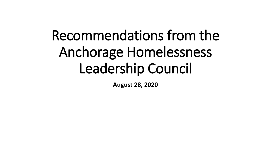## Recommendations from the Anchorage Homelessness Leadership Council

**August 28, 2020**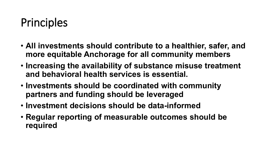## Principles

- **All investments should contribute to a healthier, safer, and more equitable Anchorage for all community members**
- **Increasing the availability of substance misuse treatment and behavioral health services is essential.**
- **Investments should be coordinated with community partners and funding should be leveraged**
- **Investment decisions should be data-informed**
- **Regular reporting of measurable outcomes should be required**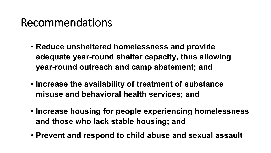## Recommendations

- **Reduce unsheltered homelessness and provide adequate year-round shelter capacity, thus allowing year-round outreach and camp abatement; and**
- **Increase the availability of treatment of substance misuse and behavioral health services; and**
- **Increase housing for people experiencing homelessness and those who lack stable housing; and**
- **Prevent and respond to child abuse and sexual assault**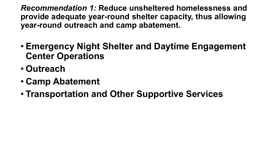*Recommendation 1:* **Reduce unsheltered homelessness and provide adequate year-round shelter capacity, thus allowing year-round outreach and camp abatement.**

- **Emergency Night Shelter and Daytime Engagement Center Operations**
- **Outreach**
- **Camp Abatement**
- **Transportation and Other Supportive Services**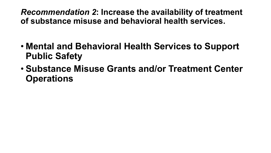*Recommendation 2***: Increase the availability of treatment of substance misuse and behavioral health services.**

- **Mental and Behavioral Health Services to Support Public Safety**
- **Substance Misuse Grants and/or Treatment Center Operations**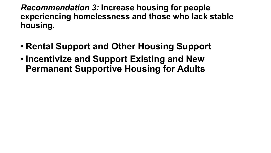*Recommendation 3:* **Increase housing for people experiencing homelessness and those who lack stable housing.**

- **Rental Support and Other Housing Support**
- **Incentivize and Support Existing and New Permanent Supportive Housing for Adults**